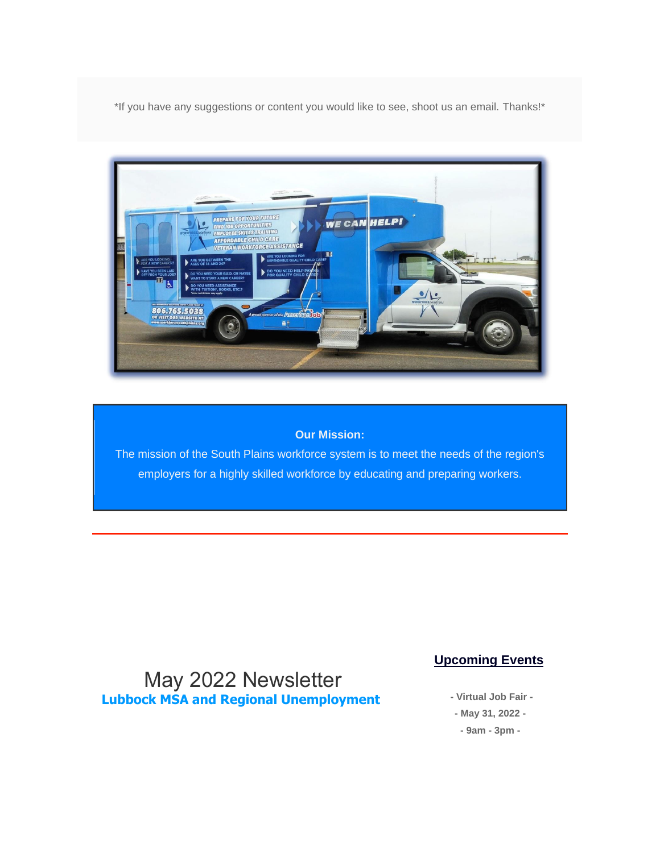\*If you have any suggestions or content you would like to see, shoot us an email. Thanks!\*



#### **Our Mission:**

The mission of the South Plains workforce system is to meet the needs of the region's employers for a highly skilled workforce by educating and preparing workers.

### May 2022 Newsletter **Lubbock MSA and Regional Unemployment**

#### **Upcoming Events**

**- Virtual Job Fair - - May 31, 2022 - - 9am - 3pm -**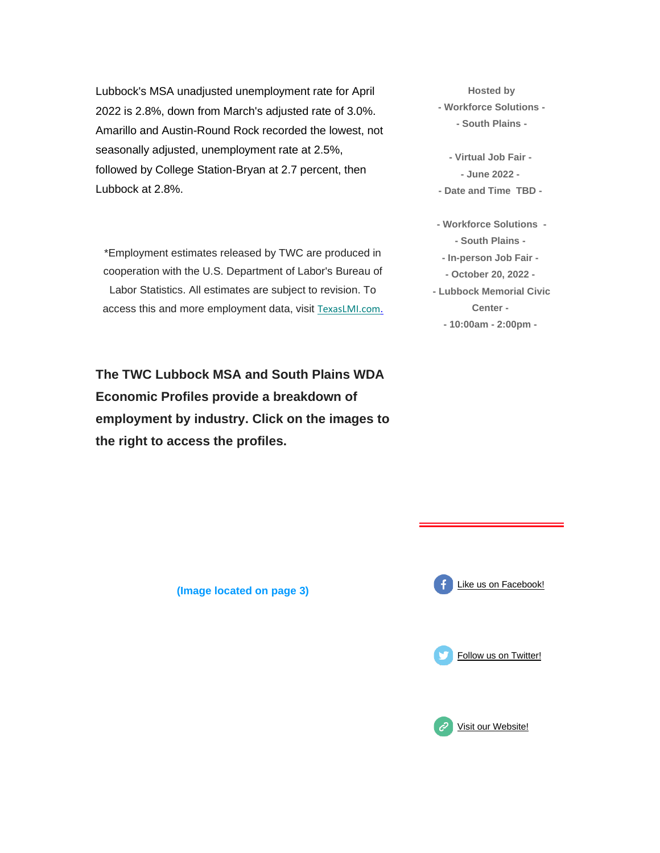Lubbock's MSA unadjusted unemployment rate for April 2022 is 2.8%, down from March's adjusted rate of 3.0%. Amarillo and Austin-Round Rock recorded the lowest, not seasonally adjusted, unemployment rate at 2.5%, followed by College Station-Bryan at 2.7 percent, then Lubbock at 2.8%.

\*Employment estimates released by TWC are produced in cooperation with the U.S. Department of Labor's Bureau of Labor Statistics. All estimates are subject to revision. To access this and more employment data, visit [T](https://spworkforce.us12.list-manage.com/track/click?u=385d6e09e627cad3fffc9d93f&id=39c3fcd927&e=516b2a2ead)[exasLMI.com](https://spworkforce.us12.list-manage.com/track/click?u=385d6e09e627cad3fffc9d93f&id=b699d48b77&e=516b2a2ead)[.](https://spworkforce.us12.list-manage.com/track/click?u=385d6e09e627cad3fffc9d93f&id=e41edaca5e&e=516b2a2ead)

**The TWC Lubbock MSA and South Plains WDA Economic Profiles provide a breakdown of employment by industry. Click on the images to the right to access the profiles.**

**Hosted by - Workforce Solutions - - South Plains -**

**- Virtual Job Fair - - June 2022 -**

- **- Date and Time TBD -**
- **- Workforce Solutions - - South Plains -**
- **- In-person Job Fair -**
- **- October 20, 2022 -**
- **- Lubbock Memorial Civic Center - - 10:00am - 2:00pm -**

**(Image located on page 3)**





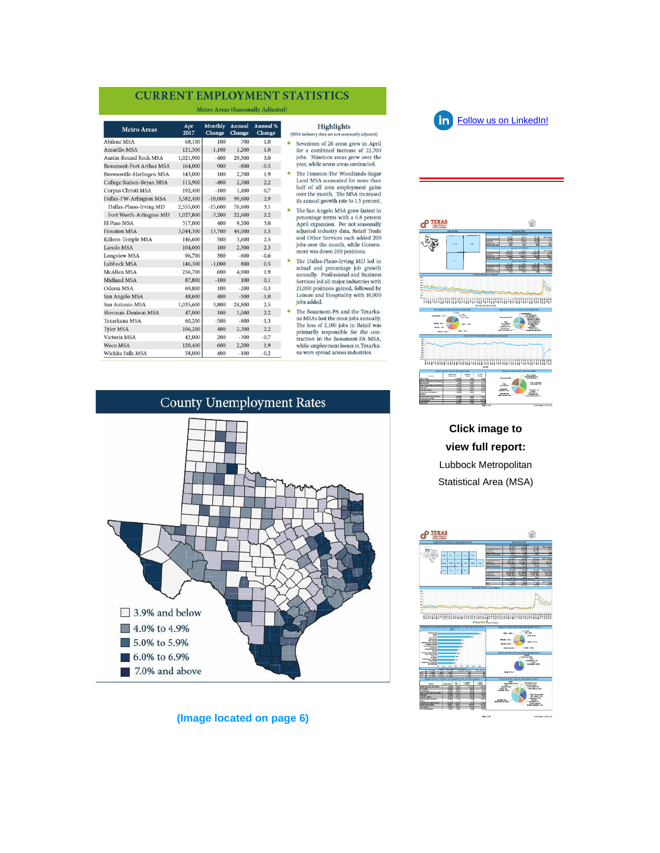#### **CURRENT EMPLOYMENT STATISTICS**

Metro Areas (Seasonally Adjusted)

| <b>Metro Areas</b>               | Apr<br>2017 | Monthly<br>Change | Annual<br>Change | Annual %<br>Change | (MSA) |
|----------------------------------|-------------|-------------------|------------------|--------------------|-------|
| <b>Abilene MSA</b>               | 68,100      | 100               | 700              | 1.0                |       |
| Amarillo MSA                     | 121,300     | $-1,100$          | 1,200            | 1.0                |       |
| <b>Austin-Round Rock MSA</b>     | 1,021,900   | $-400$            | 29,300           | 3.0                |       |
| <b>Beaumont-Port Arthur MSA</b>  | 164,000     | 900               | $-800$           | $-0.5$             |       |
| Brownsville-Harlingen MSA        | 143,000     | 100               | 2,700            | 1.9                |       |
| <b>College Station-Bryan MSA</b> | 115,900     | $-400$            | 2,500            | 2.2                |       |
| Corpus Christi MSA               | 192,400     | $-100$            | 1,400            | 0.7                |       |
| Dallas-FW-Arlington MSA          | 3,582,400   | $-18,000$         | 99,600           | 2.9                |       |
| Dallas-Plano-Irving MD           | 2,555,000   | $-15,600$         | 76,600           | 3.1                |       |
| Fort Worth-Arlington MD          | 1,027,800   | $-3,200$          | 22,600           | 2.2                |       |
| El Paso MSA                      | 317,000     | 400               | 9,200            | 3.0                |       |
| <b>Houston MSA</b>               | 3,044,300   | 13,700            | 44,000           | 1.5                |       |
| Killeen-Temple MSA               | 146,600     | 500               | 3,600            | 2.5                |       |
| Laredo MSA                       | 104,000     | 100               | 2,300            | 2.3                |       |
| Longview MSA                     | 96,700      | 300               | $-600$           | $-0.6$             |       |
| Lubbock MSA                      | 146,300     | $-1,000$          | 800              | 0.5                |       |
| <b>McAllen MSA</b>               | 256,700     | 600               | 4,900            | 1.9                |       |
| <b>Midland MSA</b>               | 87,800      | $-100$            | 100              | 0.1                |       |
| Odessa MSA                       | 69,800      | 100               | $-200$           | $-0.3$             |       |
| San Angelo MSA                   | 48,600      | 400               | $-500$           | $-1.0$             |       |
| San Antonio MSA                  | 1,035,600   | 3,800             | 24,800           | 2.5                |       |
| Sherman-Denison MSA              | 47,000      | 100               | 1,000            | 2.2                |       |
| Texarkana MSA                    | 60,200      | $-500$            | $-800$           | $-1.3$             |       |
| <b>Tyler MSA</b>                 | 106,200     | 400               | 2,300            | 2.2                |       |
| Victoria MSA                     | 42,000      | 200               | $-300$           | $-0.7$             |       |
| Waco MSA                         | 120,400     | 600               | 2,200            | 1.9                |       |
| Wichita Falls MSA                | 58,000      | 400               | $-100$           | $-0.2$             |       |

#### **Highlights**

- sonally adjusted) industry data venteen of 26 areas grew in April r a combined increase of 22,700<br>bs. Nineteen areas grew over the ar, while seven areas contracted.
- e Houston-The Woodlands-Sugar<br>nd MSA accounted for more than If of all area employment gains<br>er the month. The MSA increased annual growth rate to 1.5 percent.
- e San Angelo MSA grew fastest in Contrastigation of the process of the secondary contrast of the secondary state in the secondary state of the Secondary state of the Secondary state of the Secondary state of the Secondary of the Secondary of the Secondary
- the Dallas-Plano-Irving MD led in<br>ttual and percentage job growth<br>nnually. Professional and Business<br>ervices led all major industries with<br>1,000 positions gained, followed by isure and Hospitality with 10,900<br>os added.
- ne Beaumont-PA and the Texarka-<br>MSAs lost the most jobs annually.<br>he loss of 2,100 jobs in Retail was imarily responsible for the con-<br>action in the Beaumont-PA MSA, nile employment losses in Texarka-<br>were spread across industries.



#### **(Image located on page 6)**



fin [Follow us on LinkedIn!](https://spworkforce.us12.list-manage.com/track/click?u=385d6e09e627cad3fffc9d93f&id=62990dbc73&e=516b2a2ead)



#### **Click image to view full report:** Lubbock Metropolitan Statistical Area (MSA)

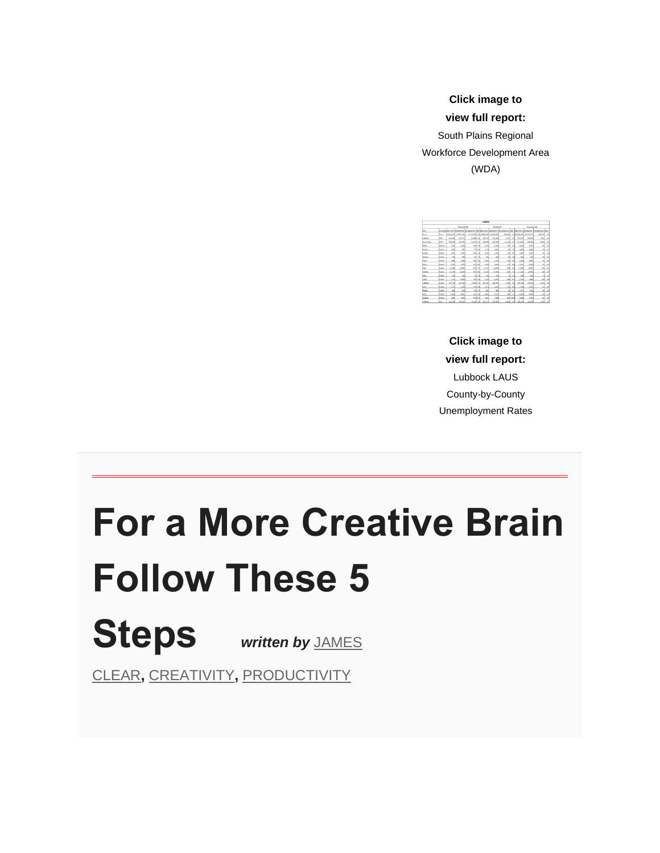**Click image to view full report:**

South Plains Regional Workforce Development Area (WDA)

|                    |                |               |                               |                 |                | <b>SZEROCK</b> |                                   |                                                                   |                |                    |                           |                                       |                 |
|--------------------|----------------|---------------|-------------------------------|-----------------|----------------|----------------|-----------------------------------|-------------------------------------------------------------------|----------------|--------------------|---------------------------|---------------------------------------|-----------------|
|                    |                |               | <b>November 30</b>            |                 |                |                | <b>Culturbary 20</b>              |                                                                   |                | <b>Boxenber 28</b> |                           |                                       |                 |
| m                  |                |               | Ass freeholds facts Equipment |                 |                |                |                                   | bendangan kata katas tana Itaataanan Intanananan Itaa Indonesia I |                |                    | advanced a                | <b><i><u>Technology Texts</u></i></b> |                 |
| Texas.             | <b>State</b>   |               | 14.204.577 13.075.334         |                 |                |                | LIPS OLD BUILDING MAIL IS SERVED. | 938,545                                                           |                |                    | 6.3 14.300.475 15.720.115 | <b>453, 112</b>                       | 3.40            |
| $1 - 8000$         | haria          | <b>NO BOX</b> | 152,773                       | 20,000 5.2      |                | 152.447        | 154,395                           | 8.18%                                                             | 58             | <b>MA STO</b>      | 350,249                   | 4.827                                 | 26              |
| <b>South Hairs</b> | late           | 306,841       | 195,83                        | 13,830 6.6      |                | 398, 658       | 107,681                           | 13,149                                                            | 1.1            | 311,892            | 305,180                   | s.east                                | 18              |
| <b>Salim</b>       | Courte         | 1280          | 1.138                         |                 | sxal s.al      | 3,172          | 2,368                             | 185 <sup></sup>                                                   | 4.8            | 2,415              | 2,310                     | <b>x</b>                              | 14              |
| <b>Tachese</b>     | <b>Country</b> | 1,674         | $\sim$                        |                 | arl and        | 3,119          | 1,641                             | $^{*}$                                                            | 7.9            | 1,864              | 1,049                     | 35                                    | 3.2             |
| <b>Centre</b>      | County         | 3,413         | 1,766                         |                 | 141 K.I.       | 3,472          | 3,856                             | 114                                                               | $\ddot{}$      | 1,414              | 3.570                     | m                                     | 1H              |
| Didiere            | Courte         | 649           | saal                          |                 | $41 - 7.8$     | sol            | \$25                              |                                                                   | $28$ 5.8       | <b>SSA</b>         | 535                       | zd                                    | 42              |
| <b>Taxab</b>       | <b>Country</b> | 7.441         | 2.284                         |                 | $362 - 6.6$    | 3.532          | 3.179                             | 12d                                                               | 5.4            | 5.516              | 2,425                     | зd                                    | $\overline{16}$ |
| <b>Sana</b>        | Courte         | 3.147         | LEM                           |                 | <b>SYN</b> 8.1 | 3,116          | 3,000                             |                                                                   | LEE Aud        | 3,315              | 3,100                     | <b>KR</b>                             | 24              |
| m                  | <b>Country</b> | 11,580        | 10,807                        |                 | $x + 1 = 1$    | 13,763         | 11.003                            | 686                                                               | 5.19           | 11,954             | 11,495                    | sel                                   | $\sim$          |
| Rodrig             | <b>Charles</b> | 11,599        | 10,209                        |                 | wel as         | 11,148         | 18,345                            | AFE <sup></sup>                                                   | $\rightarrow$  | 11,233             | 33,900                    | 111                                   | 2.8             |
| Seg                | Courty         | 220           | 218                           |                 | s122           | ziol           | 328                               | ×                                                                 | 1.3            | 230                | 226                       | $\overline{a}$                        | 1.7             |
| <b>Lends</b>       | County         | 5.131         | 4,506                         |                 | $323$ $63$     | 5,206          | 4.55                              | 24d                                                               | $\overline{a}$ | 5,220              | 5,040                     | w                                     | 14              |
| <b>HALLS</b>       | <b>County</b>  | 197,726       | <b>SEP ASS</b>                | 9.749 S.H.      |                | ESS MAY        | 149,747                           | <b>TANK</b>                                                       | 5.4            | 114, 114           | 155, 184                  | 4,915                                 | nal             |
| <b>Select</b>      | loans          | 221           | 1.5%                          |                 | 173 64         | 3,779          | 2,610                             | <b>Diff</b>                                                       | $\overline{a}$ | 1,754              | 2.672                     | m                                     | 2.6             |
| <b>Modey</b>       | Courty         | 441           | c15                           |                 | 23 5.2         | 463            | 441                               |                                                                   | 22 43          | C11                | m                         |                                       | 16 14           |
| <b>hara</b>        | Courty         | 4,836         | 4,400                         |                 | cri sal        | 4,900          | 4.552                             | 14H                                                               | 73             | 4,808              | 4.739                     | <b>THE</b>                            | a si            |
| <b>Touchum</b>     | County         | 1,682         | 3,400                         |                 | outpa          | 1,883          | 1,487                             |                                                                   | and soul       | 1,642              | 3,530                     | <b>TII</b>                            | 10              |
| <b>LARGER</b>      | юv             | 132,895       | 114,567                       | $0.3341 \leq 1$ |                | 133,543        | 125,685                           | card.                                                             |                | 114, 174           | <b>TRN 656</b>            | 3,516                                 | 26              |

**Click image to view full report:**  Lubbock LAUS County-by-County Unemployment Rates

# **For a More Creative Brain Follow These 5 Steps** *written by* [JAMES](https://spworkforce.us12.list-manage.com/track/click?u=385d6e09e627cad3fffc9d93f&id=148d2ba455&e=516b2a2ead)

[CLEAR](https://spworkforce.us12.list-manage.com/track/click?u=385d6e09e627cad3fffc9d93f&id=148d2ba455&e=516b2a2ead)**,** [CREATIVITY](https://spworkforce.us12.list-manage.com/track/click?u=385d6e09e627cad3fffc9d93f&id=675b5c79fe&e=516b2a2ead)**,** [PRODUCTIVITY](https://spworkforce.us12.list-manage.com/track/click?u=385d6e09e627cad3fffc9d93f&id=fe971a0e3d&e=516b2a2ead)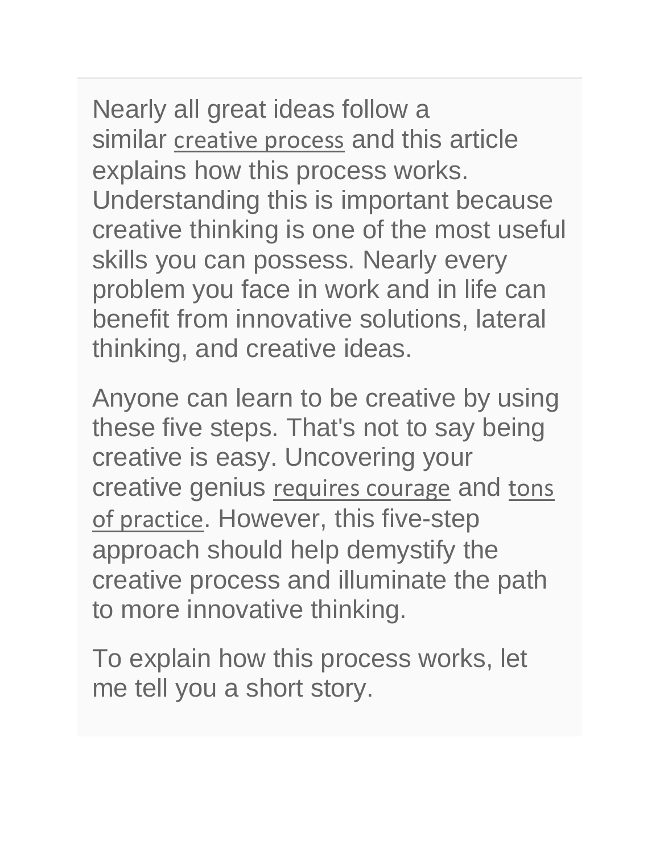Nearly all great ideas follow a similar [creative process](https://spworkforce.us12.list-manage.com/track/click?u=385d6e09e627cad3fffc9d93f&id=1f59e0a536&e=516b2a2ead) and this article explains how this process works. Understanding this is important because creative thinking is one of the most useful skills you can possess. Nearly every problem you face in work and in life can benefit from innovative solutions, lateral thinking, and creative ideas.

Anyone can learn to be creative by using these five steps. That's not to say being creative is easy. Uncovering your creative genius [requires courage](https://spworkforce.us12.list-manage.com/track/click?u=385d6e09e627cad3fffc9d93f&id=dd1dfd243f&e=516b2a2ead) and tons [of practice](https://spworkforce.us12.list-manage.com/track/click?u=385d6e09e627cad3fffc9d93f&id=bb5357f974&e=516b2a2ead). However, this five-step approach should help demystify the creative process and illuminate the path to more innovative thinking.

To explain how this process works, let me tell you a short story.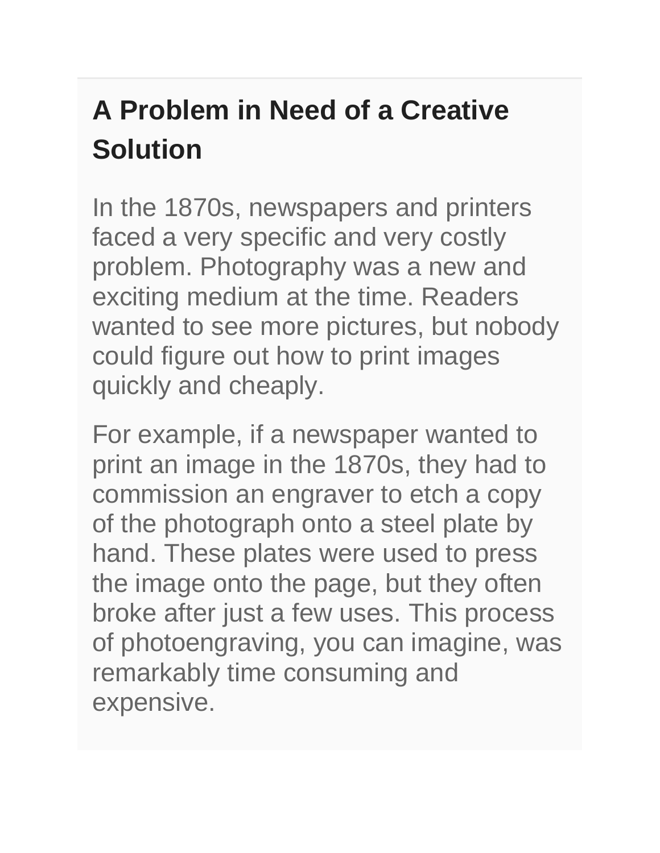# **A Problem in Need of a Creative Solution**

In the 1870s, newspapers and printers faced a very specific and very costly problem. Photography was a new and exciting medium at the time. Readers wanted to see more pictures, but nobody could figure out how to print images quickly and cheaply.

For example, if a newspaper wanted to print an image in the 1870s, they had to commission an engraver to etch a copy of the photograph onto a steel plate by hand. These plates were used to press the image onto the page, but they often broke after just a few uses. This process of photoengraving, you can imagine, was remarkably time consuming and expensive.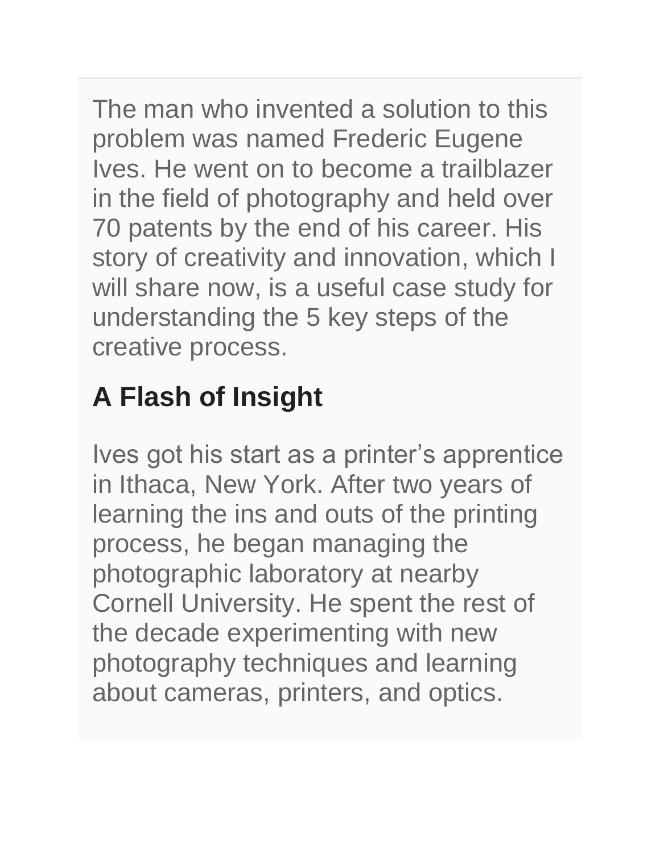The man who invented a solution to this problem was named Frederic Eugene Ives. He went on to become a trailblazer in the field of photography and held over 70 patents by the end of his career. His story of creativity and innovation, which I will share now, is a useful case study for understanding the 5 key steps of the creative process.

## **A Flash of Insight**

Ives got his start as a printer's apprentice in Ithaca, New York. After two years of learning the ins and outs of the printing process, he began managing the photographic laboratory at nearby Cornell University. He spent the rest of the decade experimenting with new photography techniques and learning about cameras, printers, and optics.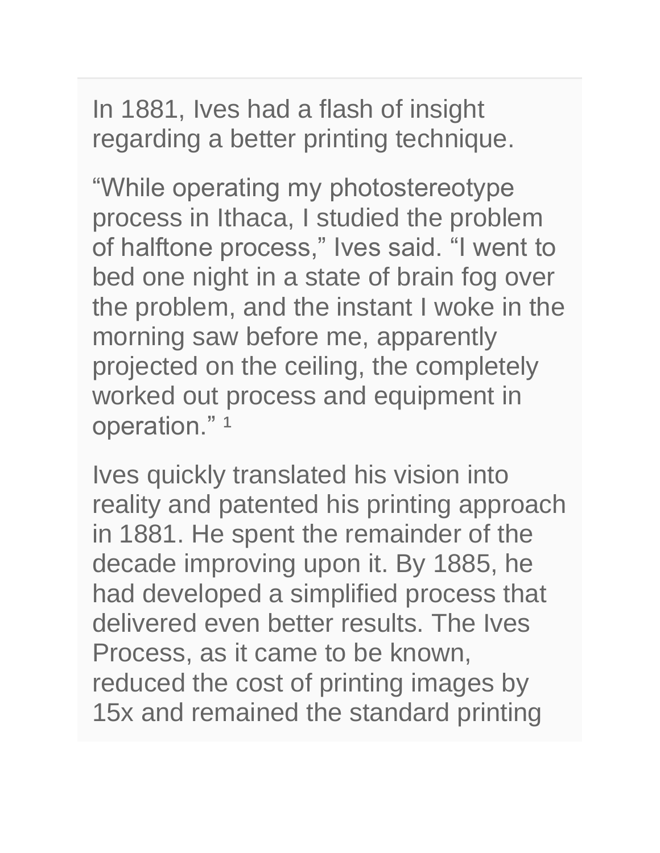In 1881, Ives had a flash of insight regarding a better printing technique.

"While operating my photostereotype process in Ithaca, I studied the problem of halftone process," Ives said. "I went to bed one night in a state of brain fog over the problem, and the instant I woke in the morning saw before me, apparently projected on the ceiling, the completely worked out process and equipment in operation."<sup>1</sup>

Ives quickly translated his vision into reality and patented his printing approach in 1881. He spent the remainder of the decade improving upon it. By 1885, he had developed a simplified process that delivered even better results. The Ives Process, as it came to be known, reduced the cost of printing images by 15x and remained the standard printing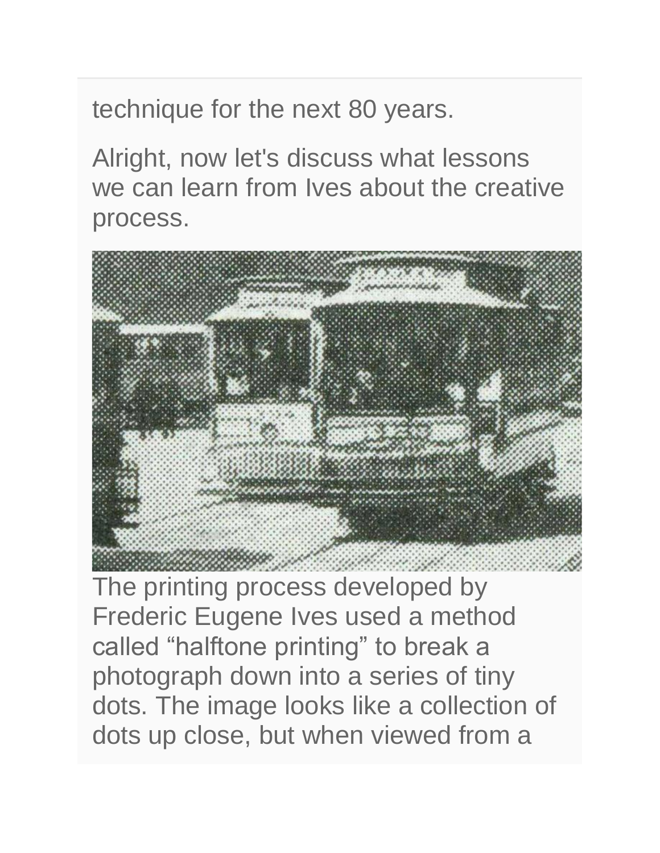technique for the next 80 years.

Alright, now let's discuss what lessons we can learn from Ives about the creative process.



The printing process developed by Frederic Eugene Ives used a method called "halftone printing" to break a photograph down into a series of tiny dots. The image looks like a collection of dots up close, but when viewed from a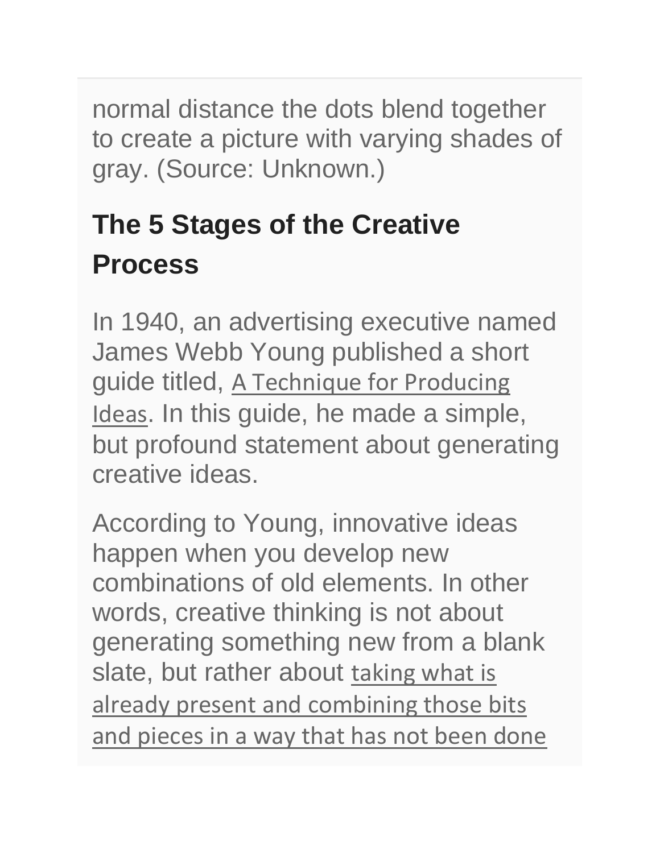normal distance the dots blend together to create a picture with varying shades of gray. (Source: Unknown.)

# **The 5 Stages of the Creative Process**

In 1940, an advertising executive named James Webb Young published a short guide titled, [A Technique for Producing](https://spworkforce.us12.list-manage.com/track/click?u=385d6e09e627cad3fffc9d93f&id=eb6dd19319&e=516b2a2ead)  [Ideas](https://spworkforce.us12.list-manage.com/track/click?u=385d6e09e627cad3fffc9d93f&id=eb6dd19319&e=516b2a2ead). In this guide, he made a simple, but profound statement about generating creative ideas.

According to Young, innovative ideas happen when you develop new combinations of old elements. In other words, creative thinking is not about generating something new from a blank slate, but rather about taking what is [already present and combining those bits](https://spworkforce.us12.list-manage.com/track/click?u=385d6e09e627cad3fffc9d93f&id=1908da522a&e=516b2a2ead)  [and pieces in a way that has not been done](https://spworkforce.us12.list-manage.com/track/click?u=385d6e09e627cad3fffc9d93f&id=1908da522a&e=516b2a2ead)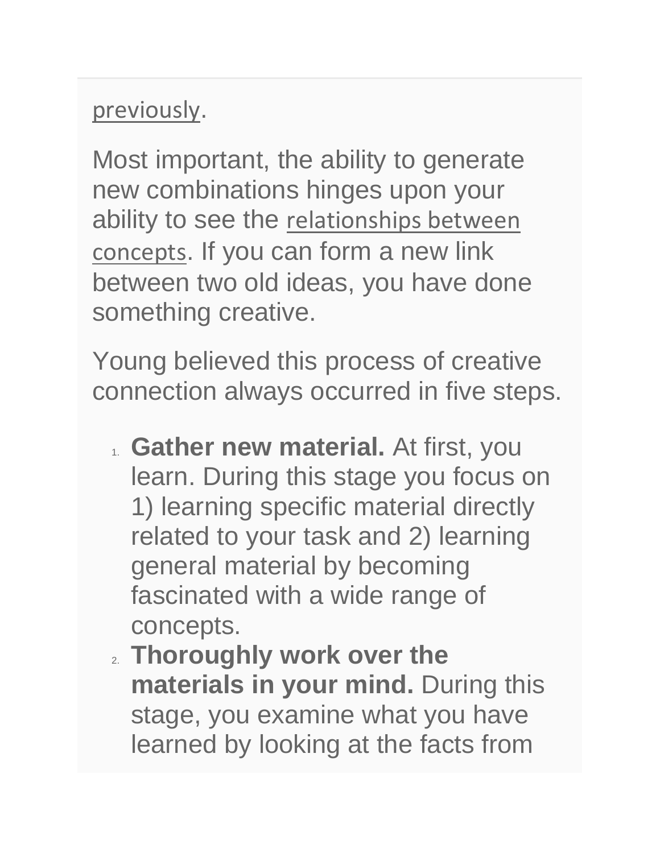### [previously](https://spworkforce.us12.list-manage.com/track/click?u=385d6e09e627cad3fffc9d93f&id=1908da522a&e=516b2a2ead).

Most important, the ability to generate new combinations hinges upon your ability to see the relationships between [concepts](https://spworkforce.us12.list-manage.com/track/click?u=385d6e09e627cad3fffc9d93f&id=1f8ada0555&e=516b2a2ead). If you can form a new link between two old ideas, you have done something creative.

Young believed this process of creative connection always occurred in five steps.

- 1. **Gather new material.** At first, you learn. During this stage you focus on 1) learning specific material directly related to your task and 2) learning general material by becoming fascinated with a wide range of concepts.
- 2. **Thoroughly work over the materials in your mind.** During this stage, you examine what you have learned by looking at the facts from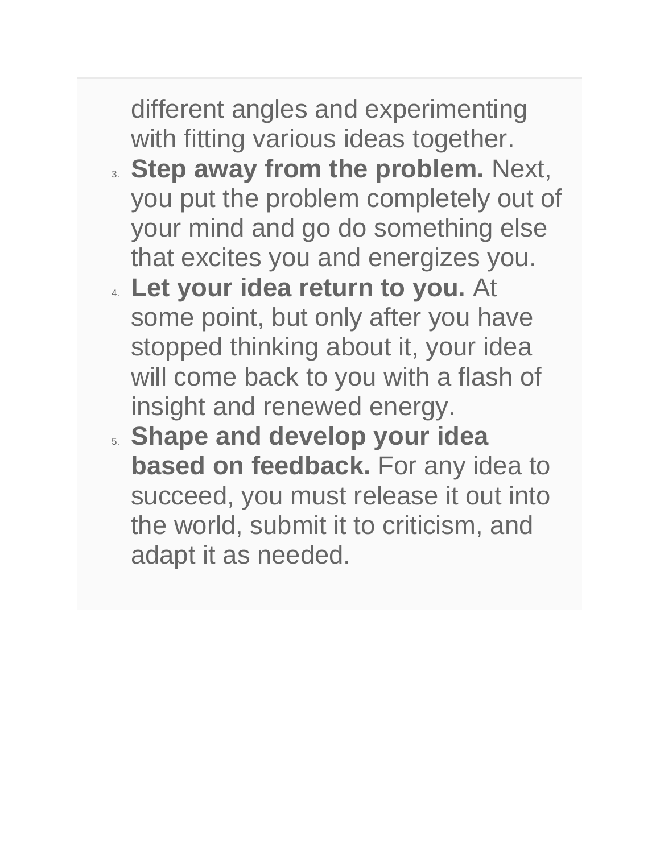different angles and experimenting with fitting various ideas together.

- 3. **Step away from the problem.** Next, you put the problem completely out of your mind and go do something else that excites you and energizes you.
- 4. **Let your idea return to you.** At some point, but only after you have stopped thinking about it, your idea will come back to you with a flash of insight and renewed energy.
- 5. **Shape and develop your idea based on feedback.** For any idea to succeed, you must release it out into the world, submit it to criticism, and adapt it as needed.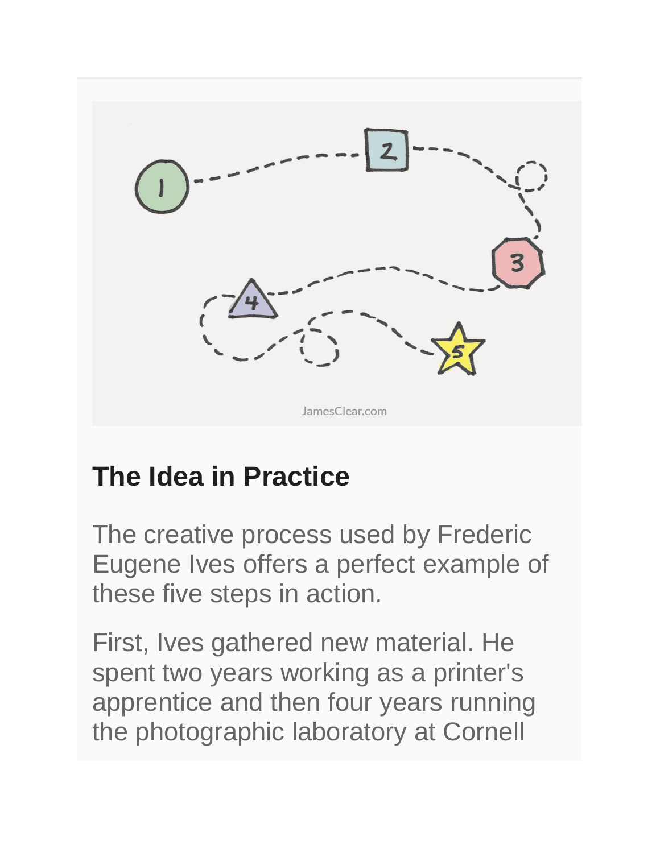

### **The Idea in Practice**

The creative process used by Frederic Eugene Ives offers a perfect example of these five steps in action.

First, Ives gathered new material. He spent two years working as a printer's apprentice and then four years running the photographic laboratory at Cornell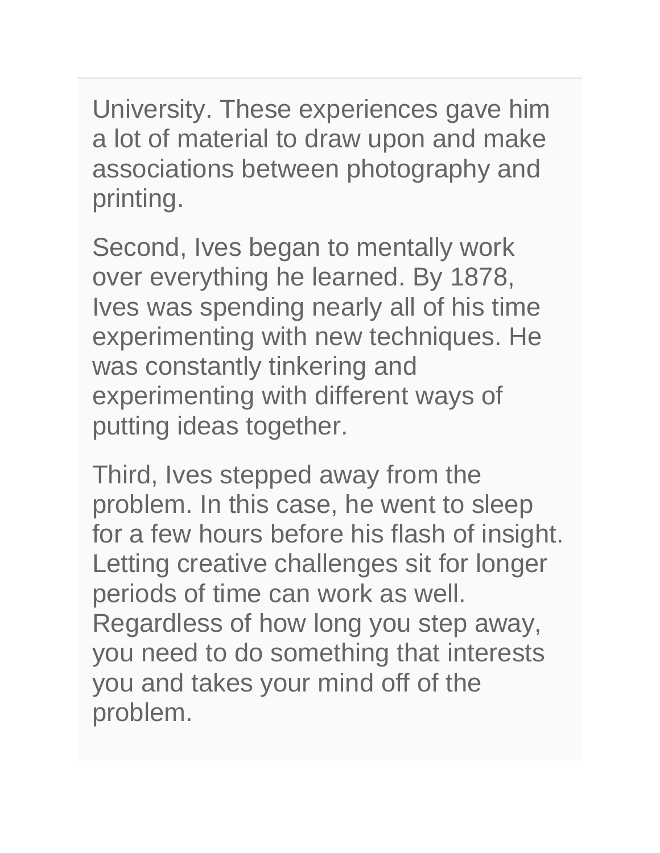University. These experiences gave him a lot of material to draw upon and make associations between photography and printing.

Second, Ives began to mentally work over everything he learned. By 1878, Ives was spending nearly all of his time experimenting with new techniques. He was constantly tinkering and experimenting with different ways of putting ideas together.

Third, Ives stepped away from the problem. In this case, he went to sleep for a few hours before his flash of insight. Letting creative challenges sit for longer periods of time can work as well. Regardless of how long you step away, you need to do something that interests you and takes your mind off of the problem.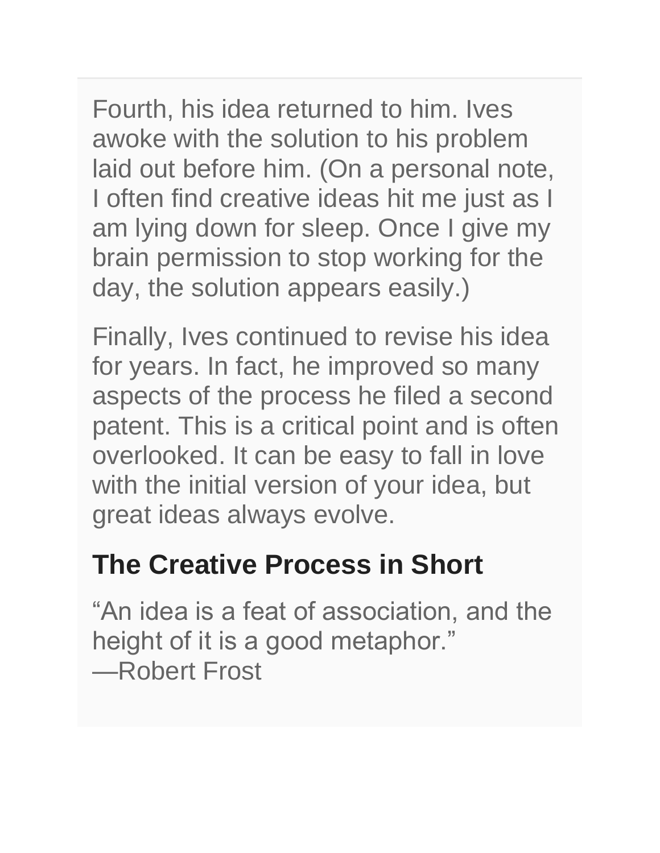Fourth, his idea returned to him. Ives awoke with the solution to his problem laid out before him. (On a personal note, I often find creative ideas hit me just as I am lying down for sleep. Once I give my brain permission to stop working for the day, the solution appears easily.)

Finally, Ives continued to revise his idea for years. In fact, he improved so many aspects of the process he filed a second patent. This is a critical point and is often overlooked. It can be easy to fall in love with the initial version of your idea, but great ideas always evolve.

### **The Creative Process in Short**

"An idea is a feat of association, and the height of it is a good metaphor." —Robert Frost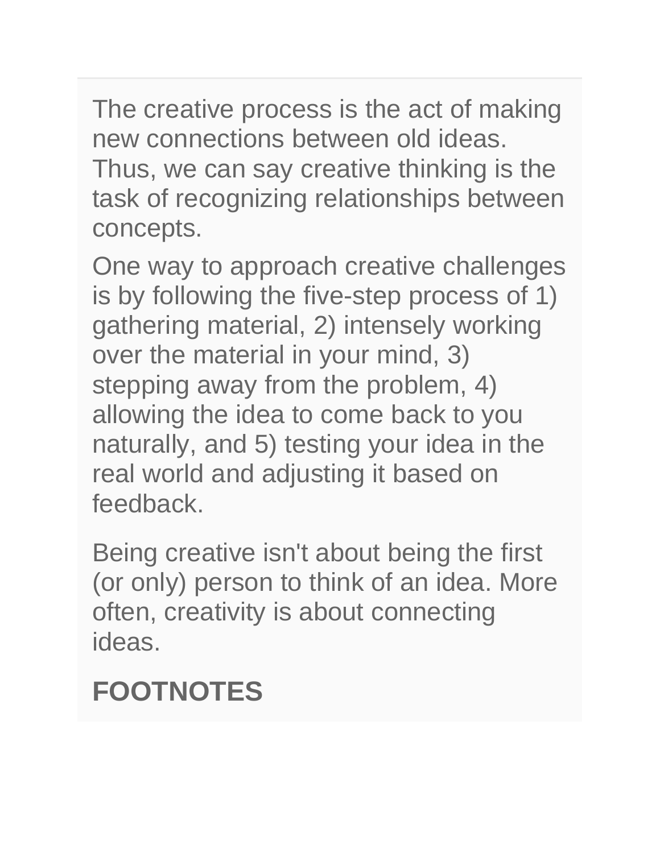The creative process is the act of making new connections between old ideas. Thus, we can say creative thinking is the task of recognizing relationships between concepts.

One way to approach creative challenges is by following the five-step process of 1) gathering material, 2) intensely working over the material in your mind, 3) stepping away from the problem, 4) allowing the idea to come back to you naturally, and 5) testing your idea in the real world and adjusting it based on feedback.

Being creative isn't about being the first (or only) person to think of an idea. More often, creativity is about connecting ideas.

### **FOOTNOTES**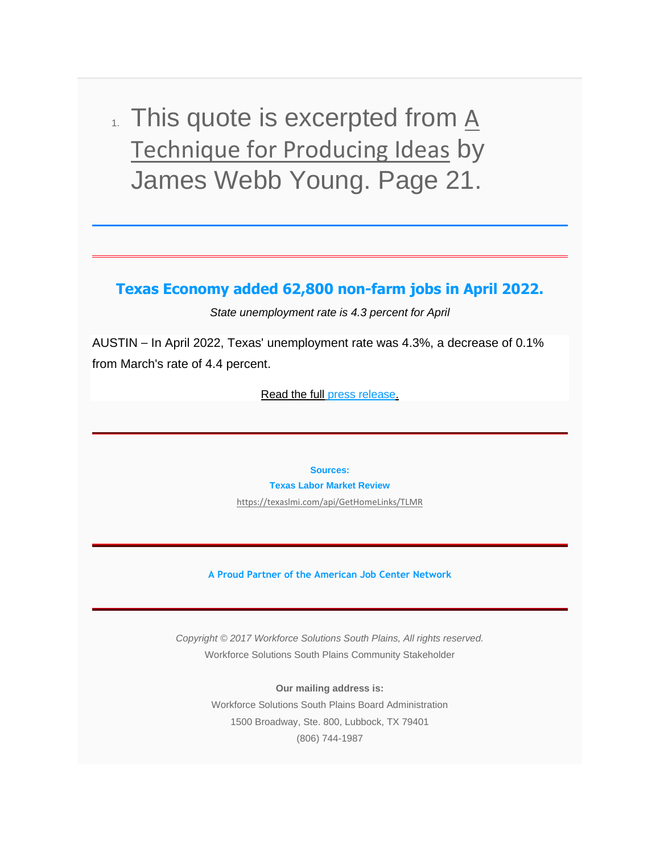$\Lambda$ . This quote is excerpted from  $\underline{A}$ [Technique for Producing Ideas](https://spworkforce.us12.list-manage.com/track/click?u=385d6e09e627cad3fffc9d93f&id=1302847871&e=516b2a2ead) by James Webb Young. Page 21.

**Texas Economy added 62,800 non-farm jobs in April 2022.**

*State unemployment rate is 4.3 percent for April*

AUSTIN – In April 2022, Texas' unemployment rate was 4.3%, a decrease of 0.1% from March's rate of 4.4 percent.

[Read the full](https://spworkforce.us12.list-manage.com/track/click?u=385d6e09e627cad3fffc9d93f&id=37536d248f&e=516b2a2ead) [press release](https://spworkforce.us12.list-manage.com/track/click?u=385d6e09e627cad3fffc9d93f&id=908426e098&e=516b2a2ead)[.](https://spworkforce.us12.list-manage.com/track/click?u=385d6e09e627cad3fffc9d93f&id=9924b54a28&e=516b2a2ead)

**Sources:**

**Texas Labor Market Review** 

[https://texaslmi.com/api/GetHomeLinks/TLMR](https://spworkforce.us12.list-manage.com/track/click?u=385d6e09e627cad3fffc9d93f&id=14649eea8f&e=516b2a2ead)

**A Proud Partner of the American Job Center Network**

*Copyright © 2017 Workforce Solutions South Plains, All rights reserved.* Workforce Solutions South Plains Community Stakeholder

> **Our mailing address is:** Workforce Solutions South Plains Board Administration 1500 Broadway, Ste. 800, Lubbock, TX 79401 (806) 744-1987